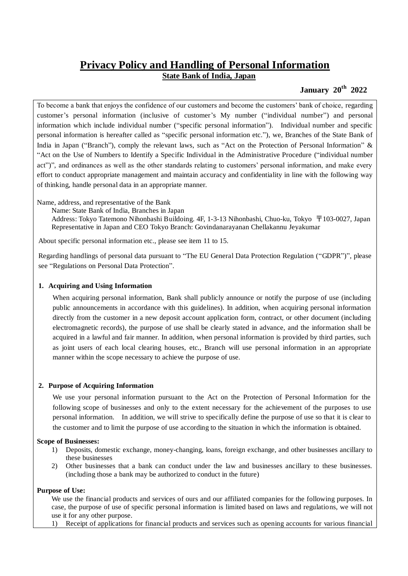# **Privacy Policy and Handling of Personal Information State Bank of India, Japan**

# **January 20th 2022**

To become a bank that enjoys the confidence of our customers and become the customers' bank of choice, regarding customer's personal information (inclusive of customer's My number ("individual number") and personal information which include individual number ("specific personal information"). Individual number and specific personal information is hereafter called as "specific personal information etc."), we, Branches of the State Bank of India in Japan ("Branch"), comply the relevant laws, such as "Act on the Protection of Personal Information" & "Act on the Use of Numbers to Identify a Specific Individual in the Administrative Procedure ("individual number act")", and ordinances as well as the other standards relating to customers' personal information, and make every effort to conduct appropriate management and maintain accuracy and confidentiality in line with the following way of thinking, handle personal data in an appropriate manner.

Name, address, and representative of the Bank

Name: State Bank of India, Branches in Japan

Address: Tokyo Tatemono Nihonbashi Buildoing. 4F, 1-3-13 Nihonbashi, Chuo-ku, Tokyo 〒103-0027, Japan Representative in Japan and CEO Tokyo Branch: Govindanarayanan Chellakannu Jeyakumar

About specific personal information etc., please see item 11 to 15.

Regarding handlings of personal data pursuant to "The EU General Data Protection Regulation ("GDPR")", please see "Regulations on Personal Data Protection".

## **1. Acquiring and Using Information**

When acquiring personal information, Bank shall publicly announce or notify the purpose of use (including public announcements in accordance with this guidelines). In addition, when acquiring personal information directly from the customer in a new deposit account application form, contract, or other document (including electromagnetic records), the purpose of use shall be clearly stated in advance, and the information shall be acquired in a lawful and fair manner. In addition, when personal information is provided by third parties, such as joint users of each local clearing houses, etc., Branch will use personal information in an appropriate manner within the scope necessary to achieve the purpose of use.

## **2. Purpose of Acquiring Information**

We use your personal information pursuant to the Act on the Protection of Personal Information for the following scope of businesses and only to the extent necessary for the achievement of the purposes to use personal information. In addition, we will strive to specifically define the purpose of use so that it is clear to the customer and to limit the purpose of use according to the situation in which the information is obtained.

## **Scope of Businesses:**

- 1) Deposits, domestic exchange, money-changing, loans, foreign exchange, and other businesses ancillary to these businesses
- 2) Other businesses that a bank can conduct under the law and businesses ancillary to these businesses. (including those a bank may be authorized to conduct in the future)

## **Purpose of Use:**

We use the financial products and services of ours and our affiliated companies for the following purposes. In case, the purpose of use of specific personal information is limited based on laws and regulations, we will not use it for any other purpose.

1) Receipt of applications for financial products and services such as opening accounts for various financial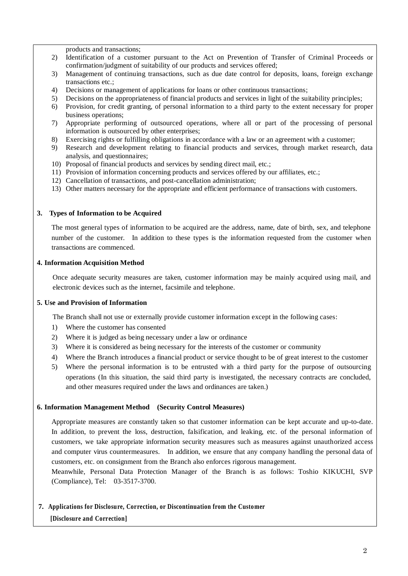products and transactions;

- 2) Identification of a customer pursuant to the Act on Prevention of Transfer of Criminal Proceeds or confirmation/judgment of suitability of our products and services offered;
- 3) Management of continuing transactions, such as due date control for deposits, loans, foreign exchange transactions etc.;
- 4) Decisions or management of applications for loans or other continuous transactions;
- 5) Decisions on the appropriateness of financial products and services in light of the suitability principles;
- 6) Provision, for credit granting, of personal information to a third party to the extent necessary for proper business operations;
- 7) Appropriate performing of outsourced operations, where all or part of the processing of personal information is outsourced by other enterprises;
- 8) Exercising rights or fulfilling obligations in accordance with a law or an agreement with a customer;
- 9) Research and development relating to financial products and services, through market research, data analysis, and questionnaires;
- 10) Proposal of financial products and services by sending direct mail, etc.;
- 11) Provision of information concerning products and services offered by our affiliates, etc.;
- 12) Cancellation of transactions, and post-cancellation administration;
- 13) Other matters necessary for the appropriate and efficient performance of transactions with customers.

#### **3. Types of Information to be Acquired**

The most general types of information to be acquired are the address, name, date of birth, sex, and telephone number of the customer. In addition to these types is the information requested from the customer when transactions are commenced.

#### **4. Information Acquisition Method**

Once adequate security measures are taken, customer information may be mainly acquired using mail, and electronic devices such as the internet, facsimile and telephone.

#### **5. Use and Provision of Information**

The Branch shall not use or externally provide customer information except in the following cases:

- 1) Where the customer has consented
- 2) Where it is judged as being necessary under a law or ordinance
- 3) Where it is considered as being necessary for the interests of the customer or community
- 4) Where the Branch introduces a financial product or service thought to be of great interest to the customer
- 5) Where the personal information is to be entrusted with a third party for the purpose of outsourcing operations (In this situation, the said third party is investigated, the necessary contracts are concluded, and other measures required under the laws and ordinances are taken.)

#### **6. Information Management Method (Security Control Measures)**

Appropriate measures are constantly taken so that customer information can be kept accurate and up-to-date. In addition, to prevent the loss, destruction, falsification, and leaking, etc. of the personal information of customers, we take appropriate information security measures such as measures against unauthorized access and computer virus countermeasures. In addition, we ensure that any company handling the personal data of customers, etc. on consignment from the Branch also enforces rigorous management.

Meanwhile, Personal Data Protection Manager of the Branch is as follows: Toshio KIKUCHI, SVP (Compliance), Tel: 03-3517-3700.

## **7. Applications for Disclosure, Correction, or Discontinuation from the Customer**

## **[Disclosure and Correction]**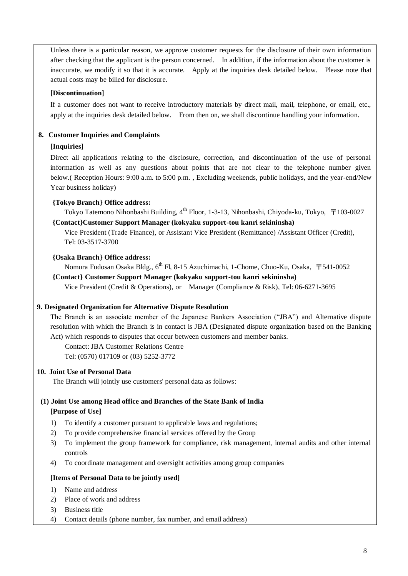Unless there is a particular reason, we approve customer requests for the disclosure of their own information after checking that the applicant is the person concerned. In addition, if the information about the customer is inaccurate, we modify it so that it is accurate. Apply at the inquiries desk detailed below. Please note that actual costs may be billed for disclosure.

# **[Discontinuation]**

If a customer does not want to receive introductory materials by direct mail, mail, telephone, or email, etc., apply at the inquiries desk detailed below. From then on, we shall discontinue handling your information.

# **8. Customer Inquiries and Complaints**

# **[Inquiries]**

Direct all applications relating to the disclosure, correction, and discontinuation of the use of personal information as well as any questions about points that are not clear to the telephone number given below.( Reception Hours: 9:00 a.m. to 5:00 p.m. , Excluding weekends, public holidays, and the year-end/New Year business holiday)

# **{Tokyo Branch} Office address:**

Tokyo Tatemono Nihonbashi Building,  $4^{th}$  Floor, 1-3-13, Nihonbashi, Chiyoda-ku, Tokyo,  $\bar{T}$ 103-0027 **{Contact}Customer Support Manager (kokyaku support-tou kanri sekininsha)**

Vice President (Trade Finance), or Assistant Vice President (Remittance) /Assistant Officer (Credit), Tel: 03-3517-3700

## **{Osaka Branch} Office address:**

Nomura Fudosan Osaka Bldg., 6<sup>th</sup> Fl, 8-15 Azuchimachi, 1-Chome, Chuo-Ku, Osaka, 〒541-0052

#### **{Contact} Customer Support Manager (kokyaku support-tou kanri sekininsha)**

Vice President (Credit & Operations), or Manager (Compliance & Risk), Tel: 06-6271-3695

## **9. Designated Organization for Alternative Dispute Resolution**

The Branch is an associate member of the Japanese Bankers Association ("JBA") and Alternative dispute resolution with which the Branch is in contact is JBA (Designated dispute organization based on the Banking Act) which responds to disputes that occur between customers and member banks.

[Contact:](file:///C:/Users/u101063/AppData/Local/Microsoft/Windows/Temporary%20Internet%20Files/Content.Outlook/AppData/Local/Microsoft/Windows/Temporary%20Internet%20Files/USER/AppData/Local/Microsoft/Windows/Temporary%20Internet%20Files/USER/AppData/Local/Microsoft/AppData/Local/Temp/100916%20Compliance%20program/Contact) JBA Customer Relations Centre Tel: (0570) 017109 or (03) 5252-3772

## **10. Joint Use of Personal Data**

The Branch will jointly use customers' personal data as follows:

# **(1) Joint Use among Head office and Branches of the State Bank of India [Purpose of Use]**

- 1) To identify a customer pursuant to applicable laws and regulations;
- 2) To provide comprehensive financial services offered by the Group
- 3) To implement the group framework for compliance, risk management, internal audits and other internal controls
- 4) To coordinate management and oversight activities among group companies

## **[Items of Personal Data to be jointly used]**

- 1) Name and address
- 2) Place of work and address
- 3) Business title
- 4) Contact details (phone number, fax number, and email address)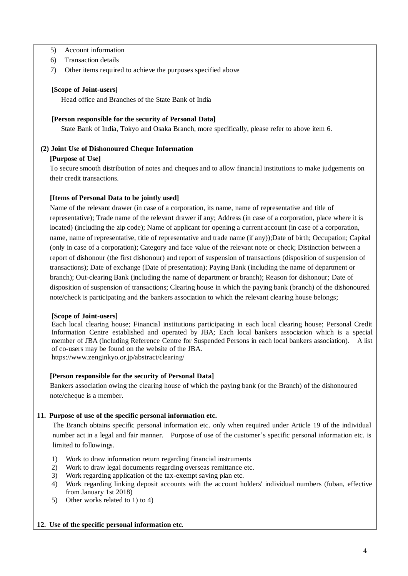- 5) Account information
- 6) Transaction details
- 7) Other items required to achieve the purposes specified above

#### **[Scope of Joint-users]**

Head office and Branches of the State Bank of India

#### **[Person responsible for the security of Personal Data]**

State Bank of India, Tokyo and Osaka Branch, more specifically, please refer to above item 6.

#### **(2) Joint Use of Dishonoured Cheque Information**

#### **[Purpose of Use]**

To secure smooth distribution of notes and cheques and to allow financial institutions to make judgements on their credit transactions.

#### **[Items of Personal Data to be jointly used]**

Name of the relevant drawer (in case of a corporation, its name, name of representative and title of representative); Trade name of the relevant drawer if any; Address (in case of a corporation, place where it is located) (including the zip code); Name of applicant for opening a current account (in case of a corporation, name, name of representative, title of representative and trade name (if any));Date of birth; Occupation; Capital (only in case of a corporation); Category and face value of the relevant note or check; Distinction between a report of dishonour (the first dishonour) and report of suspension of transactions (disposition of suspension of transactions); Date of exchange (Date of presentation); Paying Bank (including the name of department or branch); Out-clearing Bank (including the name of department or branch); Reason for dishonour; Date of disposition of suspension of transactions; Clearing house in which the paying bank (branch) of the dishonoured note/check is participating and the bankers association to which the relevant clearing house belongs;

#### **[Scope of Joint-users]**

Each local clearing house; Financial institutions participating in each local clearing house; Personal Credit Information Centre established and operated by JBA; Each local bankers association which is a special member of JBA (including Reference Centre for Suspended Persons in each local bankers association). A list of co-users may be found on the website of the JBA. https://www.zenginkyo.or.jp/abstract/clearing/

## **[Person responsible for the security of Personal Data]**

Bankers association owing the clearing house of which the paying bank (or the Branch) of the dishonoured note/cheque is a member.

## **11. Purpose of use of the specific personal information etc.**

The Branch obtains specific personal information etc. only when required under Article 19 of the individual number act in a legal and fair manner. Purpose of use of the customer's specific personal information etc. is limited to followings.

- 1) Work to draw information return regarding financial instruments
- 2) Work to draw legal documents regarding overseas remittance etc.
- 3) Work regarding application of the tax-exempt saving plan etc.
- 4) Work regarding linking deposit accounts with the account holders' individual numbers (fuban, effective from January 1st 2018)
- 5) Other works related to 1) to 4)

#### **12. Use of the specific personal information etc.**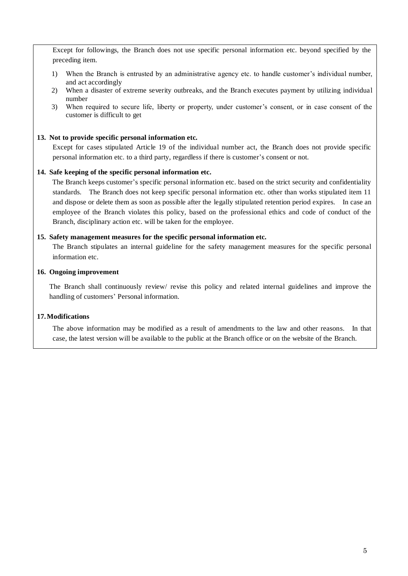Except for followings, the Branch does not use specific personal information etc. beyond specified by the preceding item.

- 1) When the Branch is entrusted by an administrative agency etc. to handle customer's individual number, and act accordingly
- 2) When a disaster of extreme severity outbreaks, and the Branch executes payment by utilizing individual number
- 3) When required to secure life, liberty or property, under customer's consent, or in case consent of the customer is difficult to get

#### **13. Not to provide specific personal information etc.**

Except for cases stipulated Article 19 of the individual number act, the Branch does not provide specific personal information etc. to a third party, regardless if there is customer's consent or not.

#### **14. Safe keeping of the specific personal information etc.**

The Branch keeps customer's specific personal information etc. based on the strict security and confidentiality standards. The Branch does not keep specific personal information etc. other than works stipulated item 11 and dispose or delete them as soon as possible after the legally stipulated retention period expires. In case an employee of the Branch violates this policy, based on the professional ethics and code of conduct of the Branch, disciplinary action etc. will be taken for the employee.

#### **15. Safety management measures for the specific personal information etc.**

The Branch stipulates an internal guideline for the safety management measures for the specific personal information etc.

#### **16. Ongoing improvement**

The Branch shall continuously review/ revise this policy and related internal guidelines and improve the handling of customers' Personal information.

## **17.Modifications**

The above information may be modified as a result of amendments to the law and other reasons. In that case, the latest version will be available to the public at the Branch office or on the website of the Branch.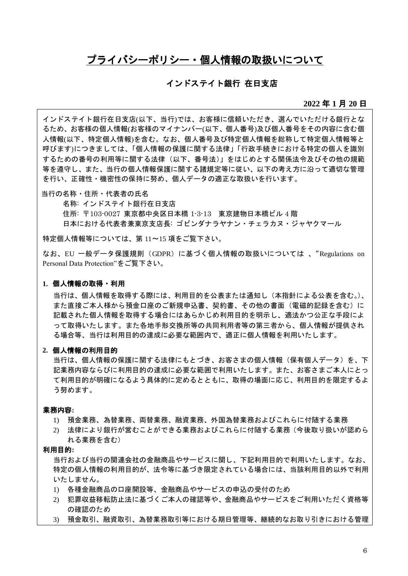# プライバシーポリシー・個人情報の取扱いについて

# インドステイト銀行 在日支店

#### **2022** 年 **1** 月 **20** 日

インドステイト銀行在日支店(以下、当行)では、お客様に信頼いただき、選んでいただける銀行とな るため、お客様の個人情報(お客様のマイナンバー(以下、個人番号)及び個人番号をその内容に含む個 人情報(以下、特定個人情報)を含む。なお、個人番号及び特定個人情報を総称して特定個人情報等と 呼びます)につきましては、「個人情報の保護に関する法律」「行政手続きにおける特定の個人を識別 するための番号の利用等に関する法律(以下、番号法)」をはじめとする関係法令及びその他の規範 等を遵守し、また、当行の個人情報保護に関する諸規定等に従い、以下の考え方に沿って適切な管理 を行い、正確性・機密性の保持に努め、個人データの適正な取扱いを行います。

当行の名称・住所・代表者の氏名

名称: インドステイト銀行在日支店 住所: 〒103-0027 東京都中央区日本橋 1-3-13 東京建物日本橋ビル 4 階 日本における代表者兼東京支店長: ゴビンダナラヤナン・チェラカヌ・ジャヤクマール

特定個人情報等については、第 11~15 項をご覧下さい。

なお、EU 一般データ保護規則 (GDPR) に基づく個人情報の取扱いについては 、"Regulations on Personal Data Protection"をご覧下さい。

#### **1.** 個人情報の取得・利用

当行は、個人情報を取得する際には、利用目的を公表または通知し(本指針による公表を含む。)、 また直接ご本人様から預金口座のご新規申込書、契約書、その他の書面(雷磁的記録を含む)に 記載された個人情報を取得する場合にはあらかじめ利用目的を明示し、適法かつ公正な手段によ って取得いたします。また各地手形交換所等の共同利用者等の第三者から、個人情報が提供され る場合等、当行は利用目的の達成に必要な範囲内で、適正に個人情報を利用いたします。

# **2.** 個人情報の利用目的

当行は、個人情報の保護に関する法律にもとづき、お客さまの個人情報(保有個人データ)を、下 記業務内容ならびに利用目的の達成に必要な範囲で利用いたします。また、お客さまご本人にとっ て利用目的が明確になるよう具体的に定めるとともに、取得の場面に応じ、利用目的を限定するよ う努めます。

#### 業務内容**:**

- 1) 預金業務、為替業務、両替業務、融資業務、外国為替業務およびこれらに付随する業務
- 2) 法律により銀行が営むことができる業務およびこれらに付随する業務(今後取り扱いが認めら れる業務を含む)

#### 利用目的**:**

当行および当行の関連会社の金融商品やサービスに関し、下記利用目的で利用いたします。なお、 特定の個人情報の利用目的が、法令等に基づき限定されている場合には、当該利用目的以外で利用 いたしません。

- 1) 各種金融商品の口座開設等、金融商品やサービスの申込の受付のため
- 2) 犯罪収益移転防止法に基づくご本人の確認等や、金融商品やサービスをご利用いただく資格等 の確認のため
- 3) 預金取引、融資取引、為替業務取引等における期日管理等、継続的なお取り引きにおける管理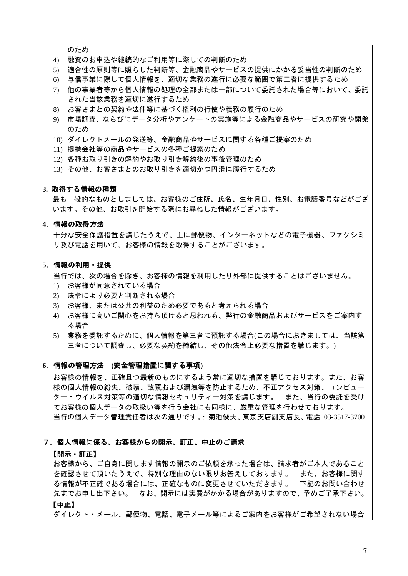のため

- 4) 融資のお申込や継続的なご利用等に際しての判断のため
- 5) 適合性の原則等に照らした判断等、金融商品やサービスの提供にかかる妥当性の判断のため
- 6) 与信事業に際して個人情報を、適切な業務の遂行に必要な範囲で第三者に提供するため
- 7) 他の事業者等から個人情報の処理の全部または一部について委託された場合等において、委託 された当該業務を適切に遂行するため
- 8) お客さまとの契約や法律等に基づく権利の行使や義務の履行のため
- 9) 市場調査、ならびにデータ分析やアンケートの実施等による金融商品やサービスの研究や開発 のため
- 10) ダイレクトメールの発送等、金融商品やサービスに関する各種ご提案のため
- 11) 提携会社等の商品やサービスの各種ご提案のため
- 12) 各種お取り引きの解約やお取り引き解約後の事後管理のため
- 13) その他、お客さまとのお取り引きを適切かつ円滑に履行するため

#### **3.** 取得する情報の種類

最も一般的なものとしましては、お客様のご住所、氏名、生年月日、性別、お電話番号などがござ います。その他、お取引を開始する際にお尋ねした情報がございます。

## **4**.情報の取得方法

十分な安全保護措置を講じたうえで、主に郵便物、インターネットなどの電子機器、ファクシミ リ及び電話を用いて、お客様の情報を取得することがございます。

#### **5**.情報の利用・提供

当行では、次の場合を除き、お客様の情報を利用したり外部に提供することはございません。

- 1) お客様が同意されている場合
- 2) 法令により必要と判断される場合
- 3) お客様、または公共の利益のため必要であると考えられる場合
- 4) お客様に高いご関心をお持ち頂けると思われる、弊行の金融商品およびサービスをご案内す る場合
- 5) 業務を委託するために、個人情報を第三者に預託する場合(この場合におきましては、当該第 三者について調査し、必要な契約を締結し、その他法令上必要な措置を講じます。)

#### **6**.情報の管理方法 **(**安全管理措置に関する事項**)**

お客様の情報を、正確且つ最新のものにするよう常に適切な措置を講じております。また、お客 様の個人情報の紛失、破壊、改竄および漏洩等を防止するため、不正アクセス対策、コンピュー ター・ウイルス対策等の適切な情報セキュリティー対策を講じます。 また、当行の委託を受け てお客様の個人データの取扱い等を行う会社にも同様に、厳重な管理を行わせております。 当行の個人データ管理責任者は次の通りです。: 菊池俊夫、東京支店副支店長、電話 03-3517-3700

#### 7.個人情報に係る、お客様からの開示、訂正、中止のご請求

#### 【開示・訂正】

お客様から、ご自身に関します情報の開示のご依頼を承った場合は、請求者がご本人であること を確認させて頂いたうえで、特別な理由のない限りお答えしております。 また、お客様に関す る情報が不正確である場合には、正確なものに変更させていただきます。 下記のお問い合わせ 先までお申し出下さい。 なお、開示には実費がかかる場合がありますので、予めご了承下さい。 【中止】

ダイレクト・メール、郵便物、電話、電子メール等によるご案内をお客様がご希望されない場合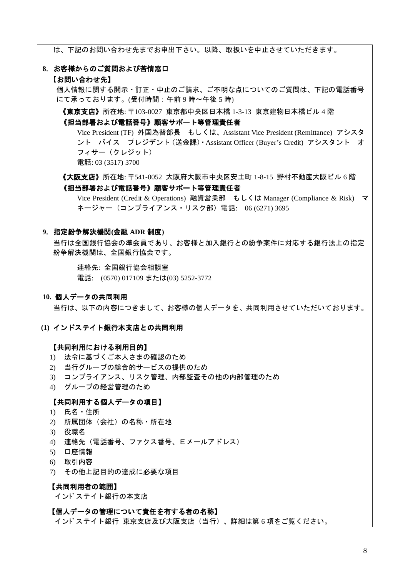は、下記のお問い合わせ先までお申出下さい。以降、取扱いを中止させていただきます。

#### **8**.お客様からのご質問および苦情窓口

#### 【お問い合わせ先】

個人情報に関する開示・訂正・中止のご請求、ご不明な点についてのご質問は、下記の電話番号 にて承っております。(受付時間:午前9時~午後5時)

《東京支店》所在地: 〒103-0027 東京都中央区日本橋 1-3-13 東京建物日本橋ビル 4 階

#### 《担当部署および電話番号》顧客サポート等管理責任者

Vice President (TF) 外国為替部長 もしくは、Assistant Vice President (Remittance) アシスタ ント バイス プレジデント(送金課)・Assistant Officer (Buyer's Credit) アシスタント オ フィサー(クレジット) 電話: 03 (3517) 3700

《大阪支店》所在地: 〒541-0052 大阪府大阪市中央区安土町 1-8-15 野村不動産大阪ビル 6 階 《担当部署および電話番号》顧客サポート等管理責任者

Vice President (Credit & Operations) 融資営業部 もしくは Manager (Compliance & Risk) マ ネージャー(コンプライアンス・リスク部)電話: 06 (6271) 3695

#### **9**.指定紛争解決機関**(**金融 **ADR** 制度**)**

当行は全国銀行協会の準会員であり、お客様と加入銀行との紛争案件に対応する銀行法上の指定 紛争解決機関は、全国銀行協会です。

連絡先: 全国銀行協会相談室 電話: (0570) 017109 または(03) 5252-3772

# **10.** 個人データの共同利用

当行は、以下の内容につきまして、お客様の個人データを、共同利用させていただいております。

#### **(1)** インドステイト銀行本支店との共同利用

# 【共同利用における利用目的】

- 1) 法令に基づくご本人さまの確認のため
- 2) 当行グループの総合的サービスの提供のため
- 3) コンプライアンス、リスク管理、内部監査その他の内部管理のため
- 4) グループの経営管理のため

# 【共同利用する個人データの項目】

- 1) 氏名・住所
- 2) 所属団体 (会社) の名称・所在地
- 3) 役職名
- 4) 連絡先(電話番号、ファクス番号、Eメールアドレス)
- 5) 口座情報
- 6) 取引内容
- 7) その他上記目的の達成に必要な項目

#### 【共同利用者の範囲】

インドステイト銀行の本支店

#### 【個人データの管理について責任を有する者の名称】

インドステイト銀行 東京支店及び大阪支店(当行)、詳細は第 6 項をご覧ください。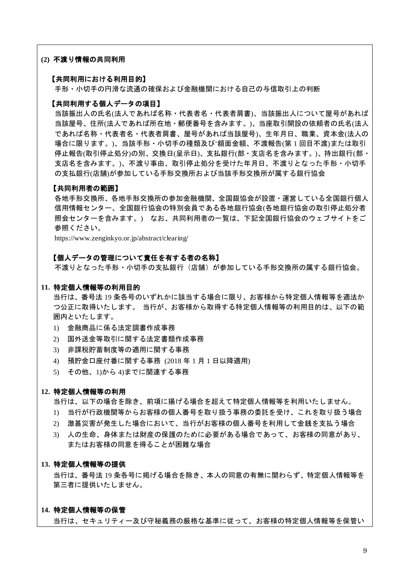#### **(2)** 不渡り情報の共同利用

#### 【共同利用における利用目的】

手形・小切手の円滑な流通の確保および金融機関における自己の与信取引上の判断

#### 【共同利用する個人データの項目】

当該振出人の氏名(法人であれば名称・代表者名・代表者肩書)、当該振出人について屋号があれば 当該屋号、住所(法人であれば所在地・郵便番号を含みます。)、当座取引開設の依頼者の氏名(法人 であれば名称・代表者名・代表者肩書、屋号があれば当該屋号)、生年月日、職業、資本金(法人の 場合に限ります。)、当該手形・小切手の種類及び'額面金額、不渡報告(第 1 回目不渡)または取引 停止報告(取引停止処分)の別、交換日(呈示日)、支払銀行(部・支店名を含みます。)、持出銀行(部・ 支店名を含みます。)、不渡り事由、取引停止処分を受けた年月日、不渡りとなった手形・小切手 の支払銀行(店舗)が参加している手形交換所および当該手形交換所が属する銀行協会

#### 【共同利用者の範囲】

各地手形交換所、各地手形交換所の参加金融機関、全国銀協会が設置・運営している全国銀行個人 信用情報センター、全国銀行協会の特別会員である各地銀行協会(各地銀行協会の取引停止処分者 照会センターを含みます。) なお、共同利用者の一覧は、下記全国銀行協会のウェブサイトをご 参照ください。

https://www.zenginkyo.or.jp/abstract/clearing/

#### 【個人データの管理について責任を有する者の名称】

不渡りとなった手形・小切手の支払銀行(店舗)が参加している手形交換所の属する銀行協会。

#### **11.** 特定個人情報等の利用目的

当行は、番号法 19 条各号のいずれかに該当する場合に限り、お客様から特定個人情報等を適法か つ公正に取得いたします。 当行が、お客様から取得する特定個人情報等の利用目的は、以下の範 囲内といたします。

- 1) 金融商品に係る法定調書作成事務
- 2) 国外送金等取引に関する法定書類作成事務
- 3) 非課税貯蓄制度等の適用に関する事務
- 4) 預貯金口座付番に関する事務 (2018 年 1 月 1 日以降適用)
- 5) その他、1)から 4)までに関連する事務

#### **12.** 特定個人情報等の利用

当行は、以下の場合を除き、前項に揚げる場合を超えて特定個人情報等を利用いたしません。

- 1) 当行が行政機関等からお客様の個人番号を取り扱う事務の委託を受け、これを取り扱う場合
- 2) 激甚災害が発生した場合において、当行がお客様の個人番号を利用して金銭を支払う場合
- 3) 人の生命、身体または財産の保護のために必要がある場合であって、お客様の同意があり、 またはお客様の同意を得ることが困難な場合

#### **13.** 特定個人情報等の提供

当行は、番号法 19 条各号に掲げる場合を除き、本人の同意の有無に関わらず、特定個人情報等を 第三者に提供いたしません。

#### **14.** 特定個人情報等の保管

当行は、セキュリティー及び守秘義務の厳格な基準に従って、お客様の特定個人情報等を保管い